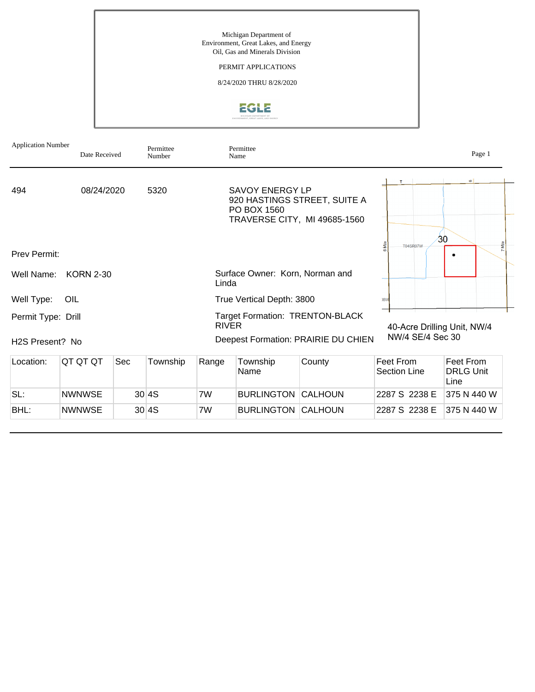Michigan Department of Environment, Great Lakes, and Energy Oil, Gas and Minerals Division

#### PERMIT APPLICATIONS

8/24/2020 THRU 8/28/2020



| <b>Application Number</b> | Date Received    |     | Permittee<br>Number |                                          | Permittee<br>Name                     |                                                              |                                  | Page 1                                |
|---------------------------|------------------|-----|---------------------|------------------------------------------|---------------------------------------|--------------------------------------------------------------|----------------------------------|---------------------------------------|
| 494                       | 08/24/2020       |     | 5320                |                                          | <b>SAVOY ENERGY LP</b><br>PO BOX 1560 | 920 HASTINGS STREET, SUITE A<br>TRAVERSE CITY, MI 49685-1560 | $\tau$                           | $\circ$                               |
| <b>Prev Permit:</b>       |                  |     |                     |                                          |                                       |                                                              | <b>T04SR07W</b>                  | 30<br>7 Mile                          |
| Well Name:                | <b>KORN 2-30</b> |     |                     | Surface Owner: Korn, Norman and<br>Linda |                                       |                                                              |                                  |                                       |
| Well Type:                | OIL              |     |                     |                                          | True Vertical Depth: 3800             |                                                              | 18 <sub>W</sub>                  |                                       |
| Permit Type: Drill        |                  |     |                     | <b>RIVER</b>                             |                                       | <b>Target Formation: TRENTON-BLACK</b>                       | 40-Acre Drilling Unit, NW/4      |                                       |
| H2S Present? No           |                  |     |                     |                                          |                                       | Deepest Formation: PRAIRIE DU CHIEN                          | NW/4 SE/4 Sec 30                 |                                       |
| Location:                 | QT QT QT         | Sec | Township            | Range                                    | Township<br>Name                      | County                                                       | Feet From<br><b>Section Line</b> | Feet From<br><b>DRLG Unit</b><br>Line |
| SL:                       | <b>NWNWSE</b>    |     | 30 4S               | 7W                                       | <b>BURLINGTON</b>                     | CALHOUN                                                      | 2287 S 2238 E                    | 375 N 440 W                           |
| BHL:                      | <b>NWNWSE</b>    |     | 30 4S               | 7W                                       | <b>BURLINGTON CALHOUN</b>             |                                                              | 2287 S 2238 E                    | 375 N 440 W                           |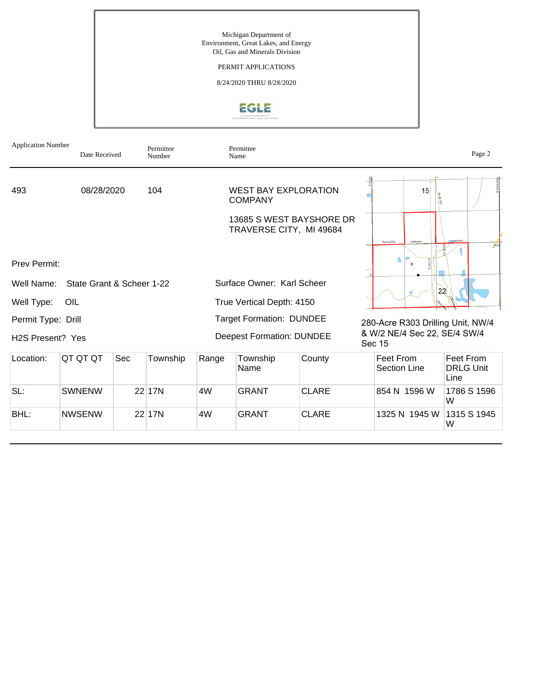Michigan Department of Environment, Great Lakes, and Energy Oil, Gas and Minerals Division

#### PERMIT APPLICATIONS

8/24/2020 THRU 8/28/2020



| <b>Application Number</b>     | Date Received             |     | Permittee<br>Number |       | Permittee<br>Name                                   |              |                                        | Page 2                                |
|-------------------------------|---------------------------|-----|---------------------|-------|-----------------------------------------------------|--------------|----------------------------------------|---------------------------------------|
| 493                           | 08/28/2020                |     | 104                 |       | <b>WEST BAY EXPLORATION</b><br><b>COMPANY</b>       |              | 15<br>١ą                               |                                       |
|                               |                           |     |                     |       | 13685 S WEST BAYSHORE DR<br>TRAVERSE CITY, MI 49684 |              | Linknown                               |                                       |
| <b>Prev Permit:</b>           |                           |     |                     |       |                                                     |              | Surrey Rd<br>$\mathsf{x}$              |                                       |
| Well Name:                    | State Grant & Scheer 1-22 |     |                     |       | Surface Owner: Karl Scheer                          |              | 22                                     |                                       |
| Well Type:                    | OIL                       |     |                     |       | True Vertical Depth: 4150                           |              |                                        |                                       |
| Permit Type: Drill            |                           |     |                     |       | <b>Target Formation: DUNDEE</b>                     |              | 280-Acre R303 Drilling Unit, NW/4      |                                       |
| H <sub>2</sub> S Present? Yes |                           |     |                     |       | <b>Deepest Formation: DUNDEE</b>                    |              | & W/2 NE/4 Sec 22, SE/4 SW/4<br>Sec 15 |                                       |
| Location:                     | QT QT QT                  | Sec | Township            | Range | Township<br>Name                                    | County       | Feet From<br>Section Line              | Feet From<br><b>DRLG Unit</b><br>Line |
| SL:                           | <b>SWNENW</b>             |     | 22 17N              | 4W    | <b>GRANT</b>                                        | <b>CLARE</b> | 854 N 1596 W                           | 1786 S 1596<br>W                      |
| BHL:                          | <b>NWSENW</b>             |     | 22 17N              | 4W    | <b>GRANT</b>                                        | <b>CLARE</b> | 1325 N 1945 W                          | 1315 S 1945<br>W                      |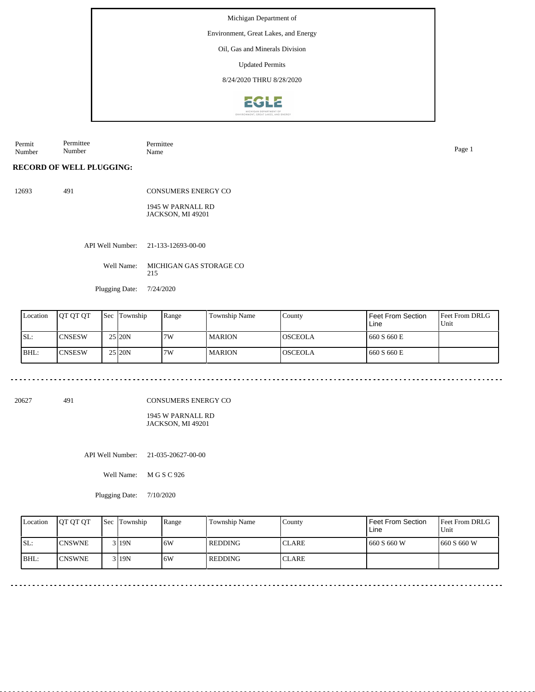Environment, Great Lakes, and Energy

Oil, Gas and Minerals Division

Updated Permits

8/24/2020 THRU 8/28/2020



Permit Number Permittee Number Permittee Name Page 1

### **RECORD OF WELL PLUGGING:**

12693 491 CONSUMERS ENERGY CO 1945 W PARNALL RD JACKSON, MI 49201

API Well Number: 21-133-12693-00-00

Well Name: MICHIGAN GAS STORAGE CO 215

Plugging Date: 7/24/2020

| Location | <b>IOT OT OT</b> | Sec | Township | Range | Township Name | County          | Feet From Section<br>Line | <b>Feet From DRLG</b><br>Unit |
|----------|------------------|-----|----------|-------|---------------|-----------------|---------------------------|-------------------------------|
| ISL:     | <b>CNSESW</b>    |     | 25 20N   | 7W    | l MARION      | IOSCEOLA        | 660 S 660 E               |                               |
| BHL:     | <b>CNSESW</b>    |     | 25 20N   | 17W   | l MARION      | <b>IOSCEOLA</b> | 660 S 660 E               |                               |

20627 491

 $- - - - - -$ 

CONSUMERS ENERGY CO

1945 W PARNALL RD JACKSON, MI 49201

API Well Number: 21-035-20627-00-00

Well Name: M G S C 926

Plugging Date: 7/10/2020

| Location | <b>IOT OT OT</b> | <b>Sec Township</b> | Range | Township Name | Countv        | <b>Feet From Section</b><br>Line | <b>Feet From DRLG</b><br>Unit |
|----------|------------------|---------------------|-------|---------------|---------------|----------------------------------|-------------------------------|
| SL:      | <b>ICNSWNE</b>   | 3 I 19 N            | 16W   | REDDING       | <b>ICLARE</b> | 660 S 660 W                      | 1660 S 660 W                  |
| BHL:     | <b>ICNSWNE</b>   | 3 I 19 N            | 16W   | REDDING       | <b>CLARE</b>  |                                  |                               |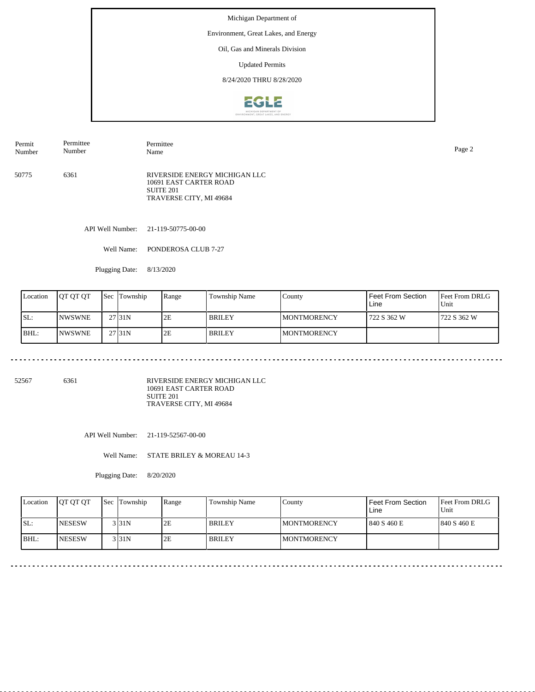Environment, Great Lakes, and Energy

### Oil, Gas and Minerals Division

Updated Permits

8/24/2020 THRU 8/28/2020



50775 6361 RIVERSIDE ENERGY MICHIGAN LLC 10691 EAST CARTER ROAD SUITE 201 TRAVERSE CITY, MI 49684 Permit Number Permittee Number Permittee Name Page 2

API Well Number: 21-119-50775-00-00

Well Name: PONDEROSA CLUB 7-27

Plugging Date: 8/13/2020

| Location | IOT OT OT      | 'Sec | Township          | Range | Township Name | County              | Feet From Section<br>Line | <b>Feet From DRLG</b><br>Unit |
|----------|----------------|------|-------------------|-------|---------------|---------------------|---------------------------|-------------------------------|
| ISL:     | <b>INWSWNE</b> |      | 27131N            | 2E    | <b>BRILEY</b> | <b>IMONTMORENCY</b> | 722 S 362 W               | 1722 S 362 W                  |
| IBHL:    | <b>INWSWNE</b> |      | 27 <sub>31N</sub> | 2E    | <b>BRILEY</b> | <b>IMONTMORENCY</b> |                           |                               |

52567 6361

RIVERSIDE ENERGY MICHIGAN LLC 10691 EAST CARTER ROAD SUITE 201 TRAVERSE CITY, MI 49684

API Well Number: 21-119-52567-00-00

Well Name: STATE BRILEY & MOREAU 14-3

Plugging Date: 8/20/2020

| Location | <b>OT OT OT</b> | <b>Sec Township</b> | Range | Township Name | County              | Feet From Section<br>Line | <b>Feet From DRLG</b><br>Unit |
|----------|-----------------|---------------------|-------|---------------|---------------------|---------------------------|-------------------------------|
| ISL:     | <b>INESESW</b>  | 3 3 1 N             | 2E    | <b>BRILEY</b> | <b>IMONTMORENCY</b> | 1840 S 460 E              | 1840 S 460 E                  |
| BHL:     | <b>INESESW</b>  | 3 I 31 N            | 2E    | <b>BRILEY</b> | <b>IMONTMORENCY</b> |                           |                               |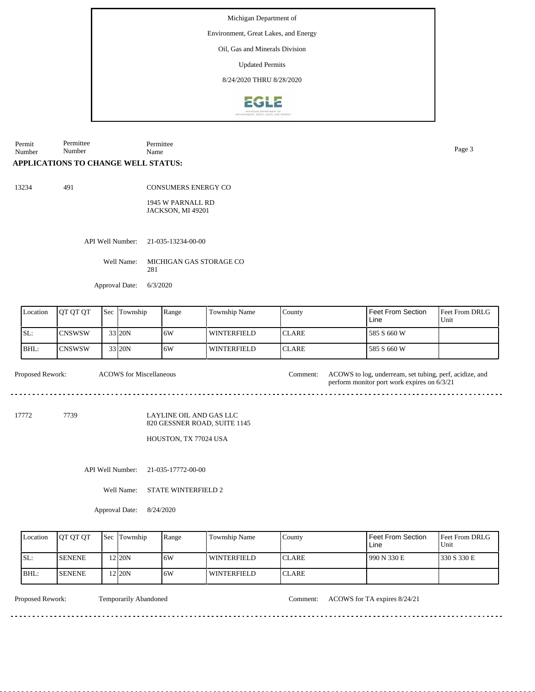Environment, Great Lakes, and Energy

Oil, Gas and Minerals Division

Updated Permits

8/24/2020 THRU 8/28/2020



Permit Number Permittee Number Permittee Name Page 3

#### **APPLICATIONS TO CHANGE WELL STATUS:**

13234 491

CONSUMERS ENERGY CO

1945 W PARNALL RD JACKSON, MI 49201

API Well Number: 21-035-13234-00-00

Well Name: MICHIGAN GAS STORAGE CO 281

Approval Date: 6/3/2020

ACOWS for Miscellaneous

| Location | <b>IOT OT OT</b> | <b>Sec</b> | Township | Range | <b>Township Name</b> | County        | Feet From Section<br>Line | <b>Feet From DRLG</b><br>Unit |
|----------|------------------|------------|----------|-------|----------------------|---------------|---------------------------|-------------------------------|
| ISL:     | <b>ICNSWSW</b>   |            | 33 20N   | 16W   | WINTERFIELD          | ICLARE        | 585 S 660 W               |                               |
| BHL:     | <b>ICNSWSW</b>   |            | 33 20N   | 16W   | <b>WINTERFIELD</b>   | <b>ICLARE</b> | 585 S 660 W               |                               |

Proposed Rework: ACOWS to log, underream, set tubing, perf, acidize, and

17772 7739

LAYLINE OIL AND GAS LLC 820 GESSNER ROAD, SUITE 1145

HOUSTON, TX 77024 USA

API Well Number: 21-035-17772-00-00

Well Name: STATE WINTERFIELD 2

Approval Date: 8/24/2020

| Location | <b>IOT OT OT</b> | <b>Sec Township</b> | Range | Township Name      | County        | Feet From Section<br>Line | <b>Feet From DRLG</b><br>Unit |
|----------|------------------|---------------------|-------|--------------------|---------------|---------------------------|-------------------------------|
| ISL:     | <b>SENENE</b>    | 2 20N               | 16W   | <b>WINTERFIELD</b> | <b>ICLARE</b> | 990 N 330 E               | 330 S 330 E                   |
| BHL:     | <b>SENENE</b>    | $2$ 20N             | 16W   | <b>WINTERFIELD</b> | ICLARE        |                           |                               |

Proposed Rework: Temporarily Abandoned Comment: ACOWS for TA expires 8/24/21

perform monitor port work expires on 6/3/21

<u>. . . . . . . . . . . . .</u>

<u>. . . . . . . .</u>

 $\frac{1}{2}$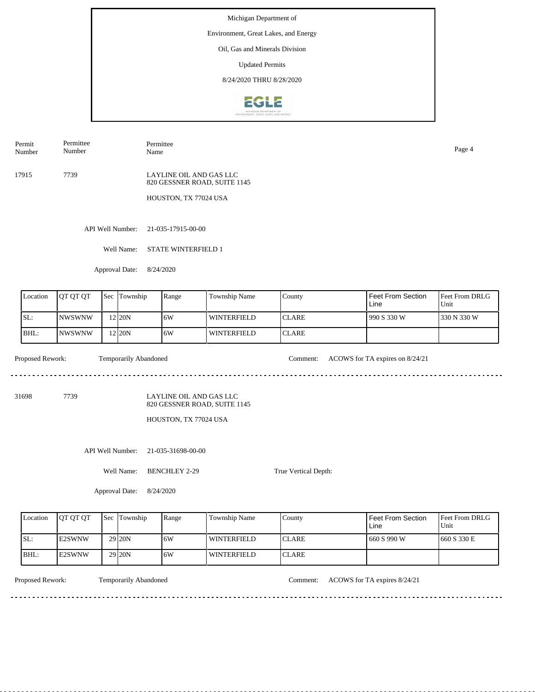Environment, Great Lakes, and Energy

# Oil, Gas and Minerals Division

Updated Permits

8/24/2020 THRU 8/28/2020



Permit Number Permittee Number

Permittee Name Page 4

17915 7739 LAYLINE OIL AND GAS LLC 820 GESSNER ROAD, SUITE 1145

HOUSTON, TX 77024 USA

API Well Number: 21-035-17915-00-00

Well Name: STATE WINTERFIELD 1

Approval Date: 8/24/2020

| Location | <b>JOT OT OT</b> | <b>Sec Township</b> | Range | <b>Township Name</b> | County        | Feet From Section<br>Line | <b>Feet From DRLG</b><br>Unit |
|----------|------------------|---------------------|-------|----------------------|---------------|---------------------------|-------------------------------|
| ISL:     | <b>INWSWNW</b>   | 12 <sub>20N</sub>   | 16W   | <b>WINTERFIELD</b>   | <b>ICLARE</b> | 990 S 330 W               | 1330 N 330 W                  |
| BHL:     | <b>INWSWNW</b>   | 12 <sub>20N</sub>   | 16W   | <b>WINTERFIELD</b>   | <b>CLARE</b>  |                           |                               |

<u>. . . . . . .</u>

Proposed Rework: Temporarily Abandoned Comment: ACOWS for TA expires on 8/24/21

31698 7739

LAYLINE OIL AND GAS LLC 820 GESSNER ROAD, SUITE 1145

HOUSTON, TX 77024 USA

API Well Number: 21-035-31698-00-00

Well Name: BENCHLEY 2-29

Approval Date: 8/24/2020

| Location | <b>IOT OT OT</b> | <b>Sec</b> Township | Range | Township Name      | County       | Feet From Section<br>∟ine | <b>Feet From DRLG</b><br>Unit |
|----------|------------------|---------------------|-------|--------------------|--------------|---------------------------|-------------------------------|
| SL:      | <b>IE2SWNW</b>   | 29 <sub>120</sub> N | 16W   | WINTERFIELD        | <b>CLARE</b> | 660 S 990 W               | 1660 S 330 E                  |
| BHL      | <b>IE2SWNW</b>   | 29 <sub>120</sub> N | 16W   | <b>WINTERFIELD</b> | <b>CLARE</b> |                           |                               |

True Vertical Depth:

Temporarily Abandoned

Proposed Rework: Temporarily Abandoned Comment: ACOWS for TA expires 8/24/21

<u>. . . . . . . . .</u>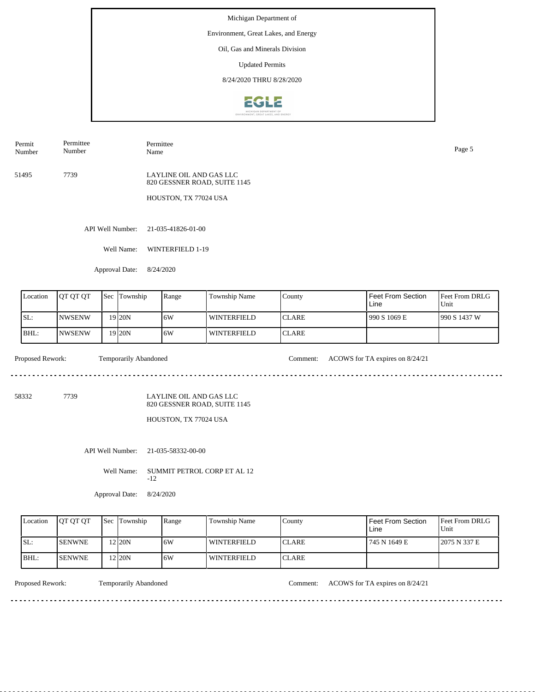Environment, Great Lakes, and Energy

## Oil, Gas and Minerals Division

Updated Permits

8/24/2020 THRU 8/28/2020



Permit Number Permittee Number

Permittee Name Page 5

51495 7739

LAYLINE OIL AND GAS LLC 820 GESSNER ROAD, SUITE 1145

HOUSTON, TX 77024 USA

API Well Number: 21-035-41826-01-00

Well Name: WINTERFIELD 1-19

Approval Date: 8/24/2020

| Location | <b>OT OT OT</b> | <b>Sec</b> | Township          | Range | Township Name | County        | Feet From Section<br>Line | <b>Feet From DRLG</b><br>Unit |
|----------|-----------------|------------|-------------------|-------|---------------|---------------|---------------------------|-------------------------------|
| ISL:     | <b>NWSENW</b>   |            | 19 <sub>20N</sub> | 6W    | WINTERFIELD   | <b>ICLARE</b> | 990 S 1069 E              | 990 S 1437 W                  |
| BHL:     | INWSENW         |            | 19 20N            | 16W   | WINTERFIELD   | <b>ICLARE</b> |                           |                               |

. . . . . . . .

Proposed Rework: Temporarily Abandoned Comment: ACOWS for TA expires on 8/24/21

58332 7739

LAYLINE OIL AND GAS LLC 820 GESSNER ROAD, SUITE 1145

HOUSTON, TX 77024 USA

API Well Number: 21-035-58332-00-00

Well Name: SUMMIT PETROL CORP ET AL 12 -12

Approval Date: 8/24/2020

| Location | <b>IOT OT OT</b> | <b>Sec</b> Township | Range | Township Name | County        | <b>Feet From Section</b><br>Line | <b>Feet From DRLG</b><br>Unit |
|----------|------------------|---------------------|-------|---------------|---------------|----------------------------------|-------------------------------|
| SL:      | <b>ISENWNE</b>   | $2$ <sub>20</sub> N | 16W   | WINTERFIELD   | <b>ICLARE</b> | 745 N 1649 E                     | 2075 N 337 E                  |
| BHL:     | <b>ISENWNE</b>   | 2120N               | 16W   | WINTERFIELD   | <b>ICLARE</b> |                                  |                               |

<u>. . . . . . . . . . . . . . . . . . .</u>

Proposed Rework: Temporarily Abandoned Comment: ACOWS for TA expires on 8/24/21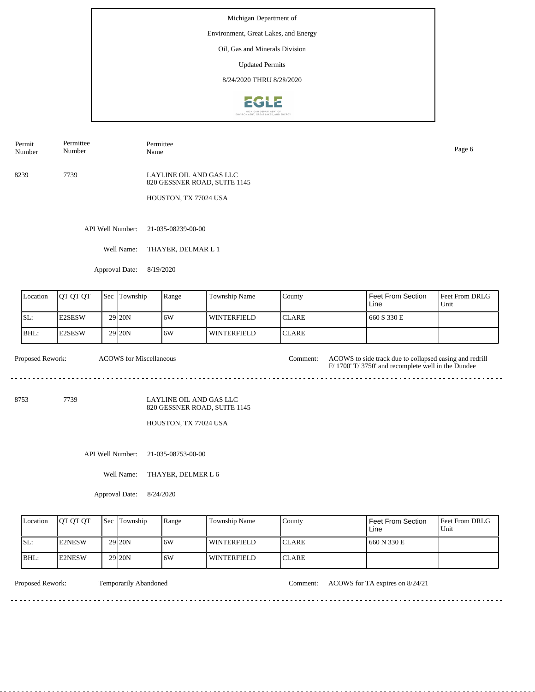Environment, Great Lakes, and Energy

## Oil, Gas and Minerals Division

Updated Permits

8/24/2020 THRU 8/28/2020



Permit Number Permittee Number

Permittee Name Page 6

8239 7739

LAYLINE OIL AND GAS LLC 820 GESSNER ROAD, SUITE 1145

HOUSTON, TX 77024 USA

API Well Number: 21-035-08239-00-00

Well Name: THAYER, DELMAR L 1

Approval Date: 8/19/2020

| Location | <b>O TOT OT</b> | <b>Sec</b> Township | Range | Township Name | County        | Feet From Section<br>Line | <b>Feet From DRLG</b><br>Unit |
|----------|-----------------|---------------------|-------|---------------|---------------|---------------------------|-------------------------------|
| SL:      | E2SESW          | 29 <sub>120</sub> N | 16W   | WINTERFIELD   | <b>ICLARE</b> | 660 S 330 E               |                               |
| BHL:     | <b>IE2SESW</b>  | 29 <sub>120</sub> N | 16W   | WINTERFIELD   | <b>ICLARE</b> |                           |                               |

Proposed Rework: ACOWS for Miscellaneous Comment: ACOWS to side track due to collapsed casing and redrill ACOWS for Miscellaneous F/ 1700' T/ 3750' and recomplete well in the Dundee 

8753 7739

LAYLINE OIL AND GAS LLC 820 GESSNER ROAD, SUITE 1145

HOUSTON, TX 77024 USA

API Well Number: 21-035-08753-00-00

Well Name: THAYER, DELMER L 6

Approval Date: 8/24/2020

| Location | <b>IOT OT OT</b> | <b>Sec Township</b> | Range | Township Name      | Countv        | <b>Feet From Section</b><br>Line | <b>Feet From DRLG</b><br>Unit |
|----------|------------------|---------------------|-------|--------------------|---------------|----------------------------------|-------------------------------|
| ISL:     | <b>IE2NESW</b>   | 29 <sub>20N</sub>   | 16W   | <b>WINTERFIELD</b> | <b>ICLARE</b> | 660 N 330 E                      |                               |
| BHL:     | <b>IE2NESW</b>   | 29 <sub>20N</sub>   | 16W   | <b>WINTERFIELD</b> | <b>ICLARE</b> |                                  |                               |

<u>. . . . . . . . .</u>

Proposed Rework: Temporarily Abandoned Comment: ACOWS for TA expires on 8/24/21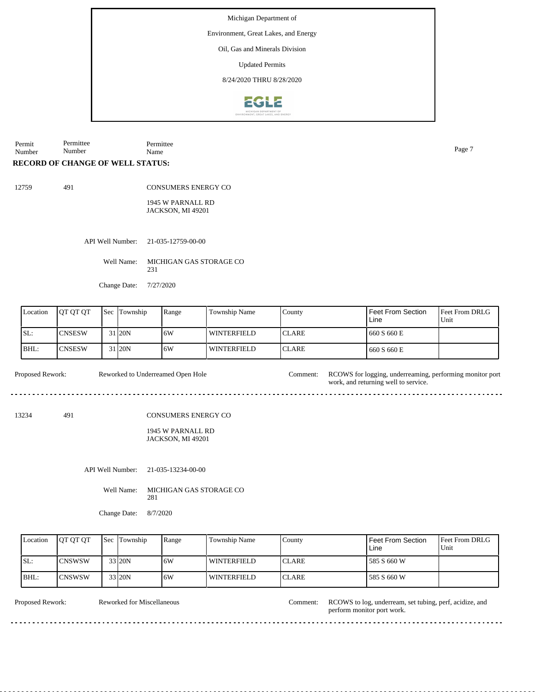Environment, Great Lakes, and Energy

Oil, Gas and Minerals Division

Updated Permits

8/24/2020 THRU 8/28/2020



Permit Number Permittee Number Permittee Name Page 7

### **RECORD OF CHANGE OF WELL STATUS:**

491

CONSUMERS ENERGY CO

1945 W PARNALL RD JACKSON, MI 49201

API Well Number: 21-035-12759-00-00

Well Name: MICHIGAN GAS STORAGE CO 231

Change Date: 7/27/2020

| Location | <b>OT OT OT</b> | <b>Sec</b> | Township | Range | Township Name | County        | Feet From Section<br>Line | <b>Feet From DRLG</b><br>Unit |
|----------|-----------------|------------|----------|-------|---------------|---------------|---------------------------|-------------------------------|
| ISL:     | <b>CNSESW</b>   |            | 31 20N   | 16W   | WINTERFIELD   | <b>ICLARE</b> | 660 S 660 E               |                               |
| BHL:     | <b>CNSESW</b>   |            | 31 20N   | 16W   | WINTERFIELD   | <b>ICLARE</b> | 660 S 660 E               |                               |

Proposed Rework: Reworked to Underreamed Open Hole Comment: RCOWS for logging, underreaming, performing monitor port Reworked to Underreamed Open Hole

13234 491

CONSUMERS ENERGY CO

1945 W PARNALL RD JACKSON, MI 49201

API Well Number: 21-035-13234-00-00

Well Name: MICHIGAN GAS STORAGE CO 281

Change Date: 8/7/2020

| Location | <b>OT OT OT</b> | <b>Sec</b> Township | Range | Township Name      | County        | <b>Feet From Section</b><br>Line | <b>Feet From DRLG</b><br>Unit |
|----------|-----------------|---------------------|-------|--------------------|---------------|----------------------------------|-------------------------------|
| ISL:     | <b>ICNSWSW</b>  | 33 20N              | 16W   | <b>WINTERFIELD</b> | <b>ICLARE</b> | 585 S 660 W                      |                               |
| BHL:     | <b>ICNSWSW</b>  | 33 20N              | 16W   | WINTERFIELD        | <b>ICLARE</b> | 585 S 660 W                      |                               |

Reworked for Miscellaneous

Proposed Rework: Reworked for Miscellaneous Comment: RCOWS to log, underream, set tubing, perf, acidize, and perform monitor port work.

work, and returning well to service.

 $- - - - - - - -$ 

<u>. . . . . . . . .</u>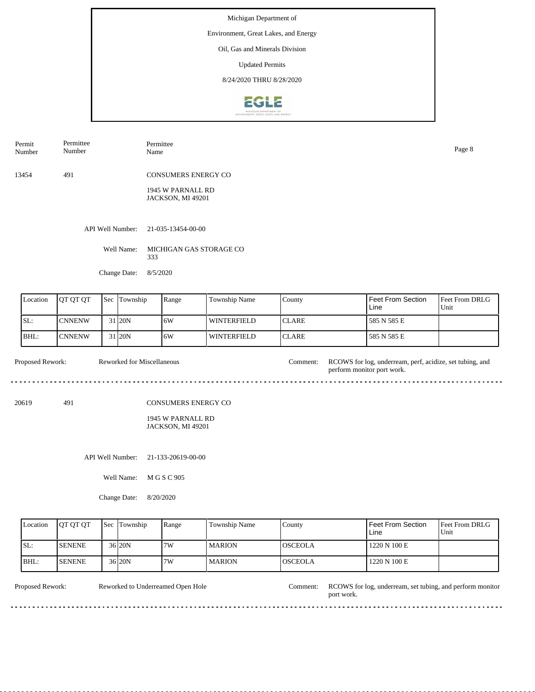Environment, Great Lakes, and Energy

# Oil, Gas and Minerals Division

Updated Permits

8/24/2020 THRU 8/28/2020



| Permit<br>Number | Permittee<br>Number | Permittee<br>Name                      | Page 8 |
|------------------|---------------------|----------------------------------------|--------|
| 13454            | 491                 | <b>CONSUMERS ENERGY CO</b>             |        |
|                  |                     | 1945 W PARNALL RD<br>JACKSON, MI 49201 |        |
|                  |                     | API Well Number: 21-035-13454-00-00    |        |

Well Name: MICHIGAN GAS STORAGE CO 333

Change Date: 8/5/2020

|      | Location | <b>IOT OT OT</b> | Sec | Township            | <b>Range</b> | <b>Township Name</b> | County        | Feet From Section<br>Line | <b>Feet From DRLG</b><br>Unit |
|------|----------|------------------|-----|---------------------|--------------|----------------------|---------------|---------------------------|-------------------------------|
| SL:  |          | <b>ICNNENW</b>   |     | 31 <sub>120</sub> N | 6W           | <b>WINTERFIELD</b>   | <b>ICLARE</b> | 585 N 585 E               |                               |
| BHL: |          | <b>ICNNENW</b>   |     | 31 <sub>20N</sub>   | 6W           | <b>WINTERFIELD</b>   | <b>CLARE</b>  | 585 N 585 E               |                               |

| Proposed Rework: | Reworked for Miscellaneous | Comment: I | RCOWS for log, underream, perf, acidize, set tubing, and<br>perform monitor port work. |
|------------------|----------------------------|------------|----------------------------------------------------------------------------------------|
|                  |                            |            |                                                                                        |

20619 491

#### CONSUMERS ENERGY CO

1945 W PARNALL RD JACKSON, MI 49201

API Well Number: 21-133-20619-00-00

Well Name: M G S C 905

Change Date: 8/20/2020

| Location | <b>IOT OT OT</b> | <b>Sec</b> | Township  | Range | Township Name | County          | Feet From Section<br>Line | Feet From DRLG<br>Unit |
|----------|------------------|------------|-----------|-------|---------------|-----------------|---------------------------|------------------------|
| SL:      | <b>SENENE</b>    |            | $36$  20N | 7W    | I MARION      | IOSCEOLA        | 1220 N 100 E              |                        |
| BHL:     | <b>SENENE</b>    |            | $36$  20N | 7W    | l MARION      | <b>IOSCEOLA</b> | 1220 N 100 E              |                        |

Reworked to Underreamed Open Hole

Proposed Rework: RCOWS for log, underream, set tubing, and perform monitor port work.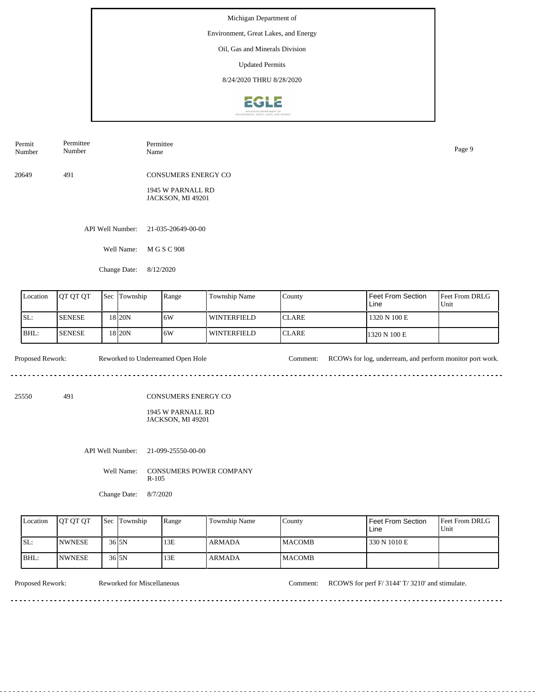Environment, Great Lakes, and Energy

### Oil, Gas and Minerals Division

Updated Permits

8/24/2020 THRU 8/28/2020



| Permit<br>Number | Permittee<br>Number | Permittee<br>Name                      | Page 9 |
|------------------|---------------------|----------------------------------------|--------|
| 20649            | 491                 | <b>CONSUMERS ENERGY CO</b>             |        |
|                  |                     | 1945 W PARNALL RD<br>JACKSON, MI 49201 |        |
|                  | API Well Number:    | 21-035-20649-00-00                     |        |
|                  | Well Name:          | M G S C 908                            |        |

Change Date: 8/12/2020

| Location | <b>JOT OT OT</b> | <b>Sec</b> Township | Range | <b>Township Name</b> | County        | Feet From Section<br>Line | <b>Feet From DRLG</b><br>Unit |
|----------|------------------|---------------------|-------|----------------------|---------------|---------------------------|-------------------------------|
| SL:      | <b>ISENESE</b>   | 18 I 20 N           | 16W   | WINTERFIELD          | <b>ICLARE</b> | 1320 N 100 E              |                               |
| BHL:     | <b>ISENESE</b>   | 18 I 20 N           | 16W   | <b>WINTERFIELD</b>   | <b>ICLARE</b> | 1320 N 100 E              |                               |

Proposed Rework: Reworked to Underreamed Open Hole Comment: RCOWs for log, underream, and perform monitor port work.

. . . . . . . . . . . . . . . . . . .  $\sim$   $\sim$   $\sim$ 

25550 491

CONSUMERS ENERGY CO

1945 W PARNALL RD JACKSON, MI 49201

API Well Number: 21-099-25550-00-00

Well Name: CONSUMERS POWER COMPANY R-105

Change Date: 8/7/2020

| Location | <b>IOT OT OT</b> | <b>Sec Township</b> | Range | Township Name | County         | <b>Feet From Section</b><br>Line | <b>Feet From DRLG</b><br>Unit |
|----------|------------------|---------------------|-------|---------------|----------------|----------------------------------|-------------------------------|
| ISL:     | <b>INWNESE</b>   | $36$ <sub>5N</sub>  | 13E   | ARMADA        | <b>IMACOMB</b> | 330 N 1010 E                     |                               |
| BHL:     | <b>INWNESE</b>   | $36$ <sub>5N</sub>  | 13E   | <b>ARMADA</b> | <b>IMACOMB</b> |                                  |                               |

Proposed Rework: Reworked for Miscellaneous Comment: RCOWS for perf F/ 3144' T/ 3210' and stimulate.